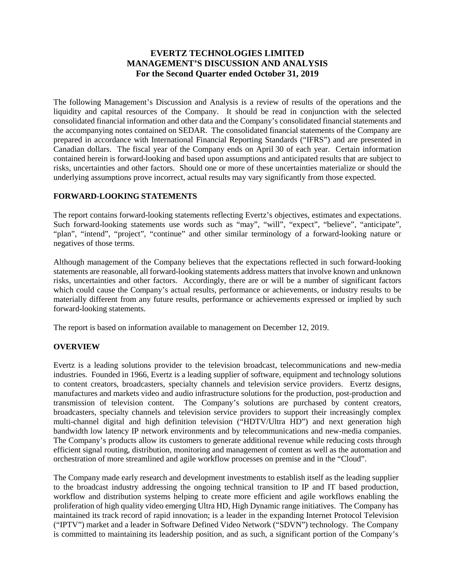# **EVERTZ TECHNOLOGIES LIMITED MANAGEMENT'S DISCUSSION AND ANALYSIS For the Second Quarter ended October 31, 2019**

The following Management's Discussion and Analysis is a review of results of the operations and the liquidity and capital resources of the Company. It should be read in conjunction with the selected consolidated financial information and other data and the Company's consolidated financial statements and the accompanying notes contained on SEDAR. The consolidated financial statements of the Company are prepared in accordance with International Financial Reporting Standards ("IFRS") and are presented in Canadian dollars. The fiscal year of the Company ends on April 30 of each year. Certain information contained herein is forward-looking and based upon assumptions and anticipated results that are subject to risks, uncertainties and other factors. Should one or more of these uncertainties materialize or should the underlying assumptions prove incorrect, actual results may vary significantly from those expected.

# **FORWARD-LOOKING STATEMENTS**

The report contains forward-looking statements reflecting Evertz's objectives, estimates and expectations. Such forward-looking statements use words such as "may", "will", "expect", "believe", "anticipate", "plan", "intend", "project", "continue" and other similar terminology of a forward-looking nature or negatives of those terms.

Although management of the Company believes that the expectations reflected in such forward-looking statements are reasonable, all forward-looking statements address matters that involve known and unknown risks, uncertainties and other factors. Accordingly, there are or will be a number of significant factors which could cause the Company's actual results, performance or achievements, or industry results to be materially different from any future results, performance or achievements expressed or implied by such forward-looking statements.

The report is based on information available to management on December 12, 2019.

## **OVERVIEW**

Evertz is a leading solutions provider to the television broadcast, telecommunications and new-media industries. Founded in 1966, Evertz is a leading supplier of software, equipment and technology solutions to content creators, broadcasters, specialty channels and television service providers. Evertz designs, manufactures and markets video and audio infrastructure solutions for the production, post-production and transmission of television content. The Company's solutions are purchased by content creators, broadcasters, specialty channels and television service providers to support their increasingly complex multi-channel digital and high definition television ("HDTV/Ultra HD") and next generation high bandwidth low latency IP network environments and by telecommunications and new-media companies. The Company's products allow its customers to generate additional revenue while reducing costs through efficient signal routing, distribution, monitoring and management of content as well as the automation and orchestration of more streamlined and agile workflow processes on premise and in the "Cloud".

The Company made early research and development investments to establish itself as the leading supplier to the broadcast industry addressing the ongoing technical transition to IP and IT based production, workflow and distribution systems helping to create more efficient and agile workflows enabling the proliferation of high quality video emerging Ultra HD, High Dynamic range initiatives. The Company has maintained its track record of rapid innovation; is a leader in the expanding Internet Protocol Television ("IPTV") market and a leader in Software Defined Video Network ("SDVN") technology. The Company is committed to maintaining its leadership position, and as such, a significant portion of the Company's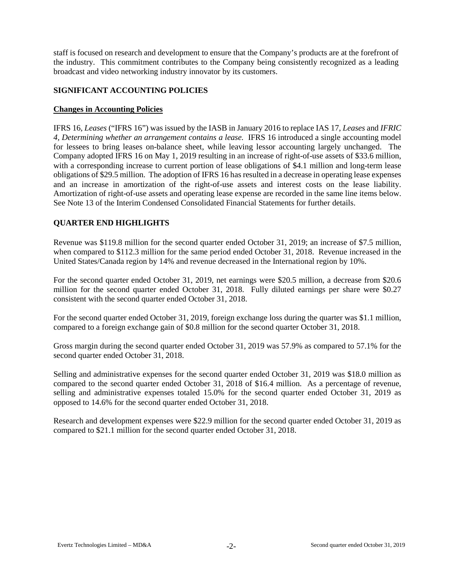staff is focused on research and development to ensure that the Company's products are at the forefront of the industry. This commitment contributes to the Company being consistently recognized as a leading broadcast and video networking industry innovator by its customers.

## **SIGNIFICANT ACCOUNTING POLICIES**

#### **Changes in Accounting Policies**

IFRS 16, *Leases* ("IFRS 16") was issued by the IASB in January 2016 to replace IAS 17, *Leases* and *IFRIC 4, Determining whether an arrangement contains a lease.* IFRS 16 introduced a single accounting model for lessees to bring leases on-balance sheet, while leaving lessor accounting largely unchanged. The Company adopted IFRS 16 on May 1, 2019 resulting in an increase of right-of-use assets of \$33.6 million, with a corresponding increase to current portion of lease obligations of \$4.1 million and long-term lease obligations of \$29.5 million. The adoption of IFRS 16 has resulted in a decrease in operating lease expenses and an increase in amortization of the right-of-use assets and interest costs on the lease liability. Amortization of right-of-use assets and operating lease expense are recorded in the same line items below. See Note 13 of the Interim Condensed Consolidated Financial Statements for further details.

# **QUARTER END HIGHLIGHTS**

Revenue was \$119.8 million for the second quarter ended October 31, 2019; an increase of \$7.5 million, when compared to \$112.3 million for the same period ended October 31, 2018. Revenue increased in the United States/Canada region by 14% and revenue decreased in the International region by 10%.

For the second quarter ended October 31, 2019, net earnings were \$20.5 million, a decrease from \$20.6 million for the second quarter ended October 31, 2018. Fully diluted earnings per share were \$0.27 consistent with the second quarter ended October 31, 2018.

For the second quarter ended October 31, 2019, foreign exchange loss during the quarter was \$1.1 million, compared to a foreign exchange gain of \$0.8 million for the second quarter October 31, 2018.

Gross margin during the second quarter ended October 31, 2019 was 57.9% as compared to 57.1% for the second quarter ended October 31, 2018.

Selling and administrative expenses for the second quarter ended October 31, 2019 was \$18.0 million as compared to the second quarter ended October 31, 2018 of \$16.4 million. As a percentage of revenue, selling and administrative expenses totaled 15.0% for the second quarter ended October 31, 2019 as opposed to 14.6% for the second quarter ended October 31, 2018.

Research and development expenses were \$22.9 million for the second quarter ended October 31, 2019 as compared to \$21.1 million for the second quarter ended October 31, 2018.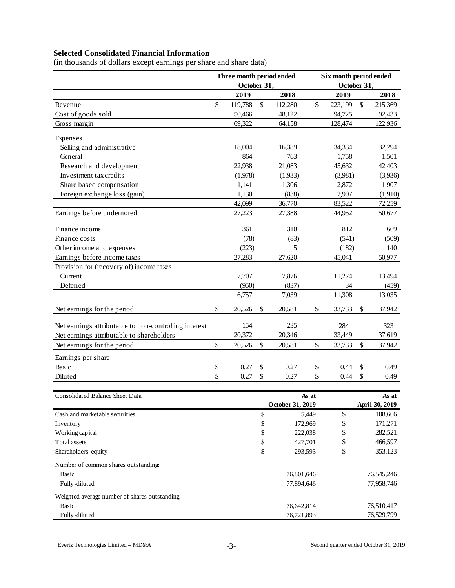# **Selected Consolidated Financial Information**

(in thousands of dollars except earnings per share and share data)

|                                                       |    | Three month period ended |          |                    | Six month period ended |             |    |                           |  |  |  |
|-------------------------------------------------------|----|--------------------------|----------|--------------------|------------------------|-------------|----|---------------------------|--|--|--|
|                                                       |    | October 31,              |          |                    |                        | October 31, |    |                           |  |  |  |
|                                                       |    | 2019                     |          | 2018               |                        | 2019        |    | 2018                      |  |  |  |
| Revenue                                               | \$ | 119,788                  | \$       | 112,280            | \$                     | 223,199     | \$ | 215,369                   |  |  |  |
| Cost of goods sold                                    |    | 50,466                   |          | 48,122             |                        | 94,725      |    | 92,433                    |  |  |  |
| Gross margin                                          |    | 69,322                   |          | 64,158             |                        | 128,474     |    | 122,936                   |  |  |  |
| Expenses                                              |    |                          |          |                    |                        |             |    |                           |  |  |  |
| Selling and administrative                            |    | 18,004                   |          | 16,389             |                        | 34,334      |    | 32,294                    |  |  |  |
| General                                               |    | 864                      |          | 763                |                        | 1,758       |    | 1,501                     |  |  |  |
| Research and development                              |    | 22,938                   |          | 21,083             |                        | 45,632      |    | 42,403                    |  |  |  |
| Investment tax credits                                |    | (1,978)                  |          | (1,933)            |                        | (3,981)     |    | (3,936)                   |  |  |  |
| Share based compensation                              |    | 1,141                    |          | 1,306              |                        | 2,872       |    | 1,907                     |  |  |  |
| Foreign exchange loss (gain)                          |    | 1,130                    |          | (838)              |                        | 2,907       |    | (1,910)                   |  |  |  |
|                                                       |    | 42,099                   |          | 36,770             |                        | 83,522      |    | 72,259                    |  |  |  |
| Earnings before undernoted                            |    | 27,223                   |          | 27,388             |                        | 44,952      |    | 50,677                    |  |  |  |
| Finance income                                        |    | 361                      |          | 310                |                        | 812         |    | 669                       |  |  |  |
| Finance costs                                         |    | (78)                     |          | (83)               |                        | (541)       |    | (509)                     |  |  |  |
| Other income and expenses                             |    | (223)                    |          | 5                  |                        | (182)       |    | 140                       |  |  |  |
| Earnings before income taxes                          |    | 27,283                   |          | 27,620             |                        | 45,041      |    | 50,977                    |  |  |  |
| Provision for (recovery of) income taxes              |    |                          |          |                    |                        |             |    |                           |  |  |  |
| Current                                               |    | 7,707                    |          | 7,876              |                        | 11,274      |    | 13,494                    |  |  |  |
| Deferred                                              |    | (950)                    |          | (837)              |                        | 34          |    | (459)                     |  |  |  |
|                                                       |    | 6,757                    |          | 7,039              |                        | 11,308      |    | 13,035                    |  |  |  |
| Net earnings for the period                           | \$ | 20,526                   | \$       | 20,581             | \$                     | 33,733      | \$ | 37,942                    |  |  |  |
| Net earnings attributable to non-controlling interest |    | 154                      |          | 235                |                        | 284         |    | 323                       |  |  |  |
| Net earnings attributable to shareholders             |    | 20,372                   |          | 20,346             |                        | 33,449      |    | 37,619                    |  |  |  |
| Net earnings for the period                           | \$ | 20,526                   | \$       | 20,581             | \$                     | 33,733      | \$ | 37,942                    |  |  |  |
| Earnings per share                                    |    |                          |          |                    |                        |             |    |                           |  |  |  |
| Basic                                                 | \$ | 0.27                     | \$       | 0.27               | \$                     | 0.44        | \$ | 0.49                      |  |  |  |
| Diluted                                               | \$ | 0.27                     | \$       | 0.27               | \$                     | 0.44        | \$ | 0.49                      |  |  |  |
|                                                       |    |                          |          |                    |                        |             |    |                           |  |  |  |
| <b>Consolidated Balance Sheet Data</b>                |    |                          |          |                    | As at                  |             |    | As at                     |  |  |  |
| Cash and marketable securities                        |    |                          | \$       | October 31, 2019   | 5,449                  | \$          |    | April 30, 2019<br>108,606 |  |  |  |
|                                                       |    |                          |          |                    |                        |             |    |                           |  |  |  |
| Inventory                                             |    |                          | \$       | 172,969            |                        | \$          |    | 171,271<br>282,521        |  |  |  |
| Working capital<br>Total assets                       |    |                          | \$<br>\$ | 222,038<br>427,701 |                        | \$<br>\$    |    | 466,597                   |  |  |  |
| Shareholders' equity                                  |    |                          | \$       | 293,593            |                        | \$          |    | 353,123                   |  |  |  |
|                                                       |    |                          |          |                    |                        |             |    |                           |  |  |  |
| Number of common shares outstanding:                  |    |                          |          |                    |                        |             |    |                           |  |  |  |
| <b>Basic</b>                                          |    |                          |          | 76,801,646         |                        |             |    | 76,545,246                |  |  |  |
| Fully-diluted                                         |    |                          |          | 77,894,646         |                        |             |    | 77,958,746                |  |  |  |
| Weighted average number of shares outstanding:        |    |                          |          |                    |                        |             |    |                           |  |  |  |
| <b>Basic</b>                                          |    |                          |          | 76,642,814         |                        |             |    | 76,510,417                |  |  |  |
| Fully-diluted                                         |    |                          |          | 76,721,893         |                        |             |    | 76,529,799                |  |  |  |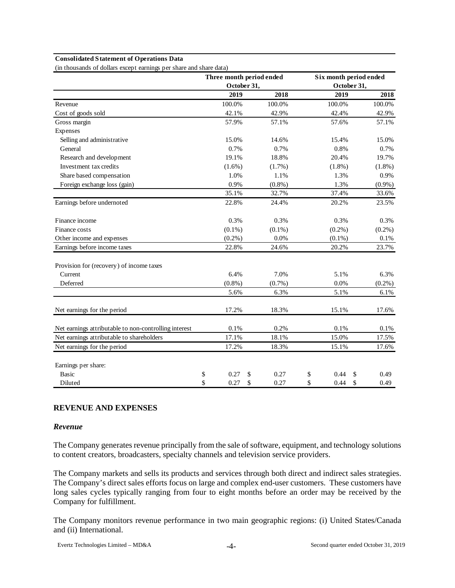#### **Consolidated Statement of Operations Data**

(in thousands of dollars except earnings per share and share data)

|                                                       | Three month period ended |            | Six month period ended |             |            |  |  |  |  |
|-------------------------------------------------------|--------------------------|------------|------------------------|-------------|------------|--|--|--|--|
|                                                       | October 31,              |            |                        | October 31, |            |  |  |  |  |
|                                                       | 2019                     | 2018       |                        | 2019        | 2018       |  |  |  |  |
| Revenue                                               | 100.0%                   | 100.0%     |                        | 100.0%      | 100.0%     |  |  |  |  |
| Cost of goods sold                                    | 42.1%                    | 42.9%      |                        | 42.4%       | 42.9%      |  |  |  |  |
| Gross margin                                          | 57.9%                    | 57.1%      |                        | 57.6%       | 57.1%      |  |  |  |  |
| Expenses                                              |                          |            |                        |             |            |  |  |  |  |
| Selling and administrative                            | 15.0%                    | 14.6%      |                        | 15.4%       | 15.0%      |  |  |  |  |
| General                                               | 0.7%                     | 0.7%       |                        | 0.8%        | 0.7%       |  |  |  |  |
| Research and development                              | 19.1%                    | 18.8%      |                        | 20.4%       | 19.7%      |  |  |  |  |
| Investment tax credits                                | $(1.6\%)$                | $(1.7\%)$  |                        | $(1.8\%)$   | $(1.8\%)$  |  |  |  |  |
| Share based compensation                              | 1.0%                     | 1.1%       |                        | 1.3%        | 0.9%       |  |  |  |  |
| Foreign exchange loss (gain)                          | 0.9%                     | $(0.8\%)$  |                        | 1.3%        | $(0.9\%)$  |  |  |  |  |
|                                                       | 35.1%                    | 32.7%      |                        | 37.4%       | 33.6%      |  |  |  |  |
| Earnings before undernoted                            | 22.8%                    | 24.4%      |                        | 20.2%       | 23.5%      |  |  |  |  |
| Finance income                                        | 0.3%                     | 0.3%       |                        | 0.3%        | 0.3%       |  |  |  |  |
| Finance costs                                         | $(0.1\%)$                | $(0.1\%)$  |                        | $(0.2\%)$   | $(0.2\%)$  |  |  |  |  |
| Other income and expenses                             | $(0.2\%)$                | 0.0%       |                        | $(0.1\%)$   | 0.1%       |  |  |  |  |
| Earnings before income taxes                          | 22.8%                    | 24.6%      |                        | 20.2%       | 23.7%      |  |  |  |  |
| Provision for (recovery) of income taxes              |                          |            |                        |             |            |  |  |  |  |
| Current                                               | 6.4%                     | 7.0%       |                        | 5.1%        | 6.3%       |  |  |  |  |
| Deferred                                              | $(0.8\%)$                | $(0.7\%)$  |                        | 0.0%        | $(0.2\%)$  |  |  |  |  |
|                                                       | 5.6%                     | 6.3%       |                        | 5.1%        | 6.1%       |  |  |  |  |
| Net earnings for the period                           | 17.2%                    | 18.3%      |                        | 15.1%       | 17.6%      |  |  |  |  |
| Net earnings attributable to non-controlling interest | 0.1%                     | 0.2%       |                        | 0.1%        | 0.1%       |  |  |  |  |
| Net earnings attributable to shareholders             | 17.1%                    | 18.1%      |                        | 15.0%       | 17.5%      |  |  |  |  |
| Net earnings for the period                           | 17.2%                    | 18.3%      |                        | 15.1%       | 17.6%      |  |  |  |  |
| Earnings per share:                                   |                          |            |                        |             |            |  |  |  |  |
| <b>Basic</b>                                          | \$<br>0.27               | \$<br>0.27 | \$                     | 0.44<br>\$  | 0.49       |  |  |  |  |
| Diluted                                               | \$<br>0.27               | \$<br>0.27 | \$                     | 0.44        | \$<br>0.49 |  |  |  |  |

# **REVENUE AND EXPENSES**

#### *Revenue*

The Company generates revenue principally from the sale of software, equipment, and technology solutions to content creators, broadcasters, specialty channels and television service providers.

The Company markets and sells its products and services through both direct and indirect sales strategies. The Company's direct sales efforts focus on large and complex end-user customers. These customers have long sales cycles typically ranging from four to eight months before an order may be received by the Company for fulfillment.

The Company monitors revenue performance in two main geographic regions: (i) United States/Canada and (ii) International.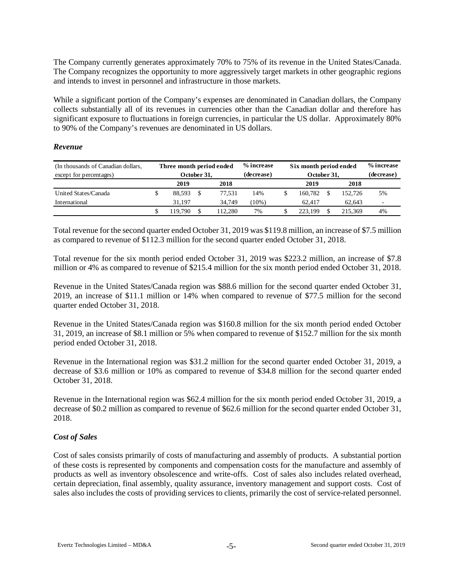The Company currently generates approximately 70% to 75% of its revenue in the United States/Canada. The Company recognizes the opportunity to more aggressively target markets in other geographic regions and intends to invest in personnel and infrastructure in those markets.

While a significant portion of the Company's expenses are denominated in Canadian dollars, the Company collects substantially all of its revenues in currencies other than the Canadian dollar and therefore has significant exposure to fluctuations in foreign currencies, in particular the US dollar. Approximately 80% to 90% of the Company's revenues are denominated in US dollars.

## *Revenue*

| (In thousands of Canadian dollars, | Three month period ended |  |        | % increase | Six month period ended |  | % increase |                |
|------------------------------------|--------------------------|--|--------|------------|------------------------|--|------------|----------------|
| except for percentages)            | October 31.              |  |        | (decrease) | October 31,            |  | (decrease) |                |
|                                    | 2018<br>2019             |  |        |            | 2019                   |  | 2018       |                |
| United States/Canada               | 88.593                   |  | 77.531 | 14%        | 160.782                |  | 152,726    | 5%             |
| International                      | 31.197                   |  | 34,749 | $10\%$ )   | 62.417                 |  | 62.643     | $\overline{a}$ |
|                                    | 19.790                   |  | 12.280 | 7%         | 223.199                |  | 215.369    | 4%             |

Total revenue for the second quarter ended October 31, 2019 was \$119.8 million, an increase of \$7.5 million as compared to revenue of \$112.3 million for the second quarter ended October 31, 2018.

Total revenue for the six month period ended October 31, 2019 was \$223.2 million, an increase of \$7.8 million or 4% as compared to revenue of \$215.4 million for the six month period ended October 31, 2018.

Revenue in the United States/Canada region was \$88.6 million for the second quarter ended October 31, 2019, an increase of \$11.1 million or 14% when compared to revenue of \$77.5 million for the second quarter ended October 31, 2018.

Revenue in the United States/Canada region was \$160.8 million for the six month period ended October 31, 2019, an increase of \$8.1 million or 5% when compared to revenue of \$152.7 million for the six month period ended October 31, 2018.

Revenue in the International region was \$31.2 million for the second quarter ended October 31, 2019, a decrease of \$3.6 million or 10% as compared to revenue of \$34.8 million for the second quarter ended October 31, 2018.

Revenue in the International region was \$62.4 million for the six month period ended October 31, 2019, a decrease of \$0.2 million as compared to revenue of \$62.6 million for the second quarter ended October 31, 2018.

## *Cost of Sales*

Cost of sales consists primarily of costs of manufacturing and assembly of products. A substantial portion of these costs is represented by components and compensation costs for the manufacture and assembly of products as well as inventory obsolescence and write-offs. Cost of sales also includes related overhead, certain depreciation, final assembly, quality assurance, inventory management and support costs. Cost of sales also includes the costs of providing services to clients, primarily the cost of service-related personnel.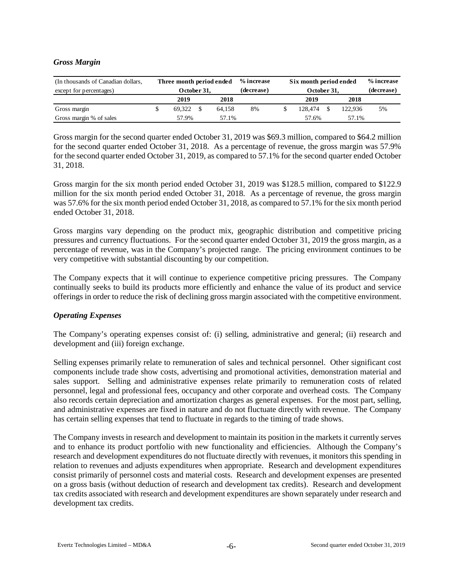## *Gross Margin*

| (In thousands of Canadian dollars,<br>except for percentages) | Three month period ended<br>October 31, |      |        | % increase<br>(decrease) | Six month period ended<br>October 31, |         | % increase<br>(decrease) |
|---------------------------------------------------------------|-----------------------------------------|------|--------|--------------------------|---------------------------------------|---------|--------------------------|
|                                                               | 2019                                    | 2018 |        | 2019                     | 2018                                  |         |                          |
| Gross margin                                                  | 69.322                                  |      | 64.158 | 8%                       | 128,474                               | 122.936 | 5%                       |
| Gross margin % of sales                                       | 57.9%                                   |      | 57.1%  |                          | 57.6%                                 | 57.1%   |                          |

Gross margin for the second quarter ended October 31, 2019 was \$69.3 million, compared to \$64.2 million for the second quarter ended October 31, 2018. As a percentage of revenue, the gross margin was 57.9% for the second quarter ended October 31, 2019, as compared to 57.1% for the second quarter ended October 31, 2018.

Gross margin for the six month period ended October 31, 2019 was \$128.5 million, compared to \$122.9 million for the six month period ended October 31, 2018. As a percentage of revenue, the gross margin was 57.6% for the six month period ended October 31, 2018, as compared to 57.1% for the six month period ended October 31, 2018.

Gross margins vary depending on the product mix, geographic distribution and competitive pricing pressures and currency fluctuations. For the second quarter ended October 31, 2019 the gross margin, as a percentage of revenue, was in the Company's projected range. The pricing environment continues to be very competitive with substantial discounting by our competition.

The Company expects that it will continue to experience competitive pricing pressures. The Company continually seeks to build its products more efficiently and enhance the value of its product and service offerings in order to reduce the risk of declining gross margin associated with the competitive environment.

## *Operating Expenses*

The Company's operating expenses consist of: (i) selling, administrative and general; (ii) research and development and (iii) foreign exchange.

Selling expenses primarily relate to remuneration of sales and technical personnel. Other significant cost components include trade show costs, advertising and promotional activities, demonstration material and sales support. Selling and administrative expenses relate primarily to remuneration costs of related personnel, legal and professional fees, occupancy and other corporate and overhead costs. The Company also records certain depreciation and amortization charges as general expenses. For the most part, selling, and administrative expenses are fixed in nature and do not fluctuate directly with revenue. The Company has certain selling expenses that tend to fluctuate in regards to the timing of trade shows.

The Company invests in research and development to maintain its position in the markets it currently serves and to enhance its product portfolio with new functionality and efficiencies. Although the Company's research and development expenditures do not fluctuate directly with revenues, it monitors this spending in relation to revenues and adjusts expenditures when appropriate. Research and development expenditures consist primarily of personnel costs and material costs. Research and development expenses are presented on a gross basis (without deduction of research and development tax credits). Research and development tax credits associated with research and development expenditures are shown separately under research and development tax credits.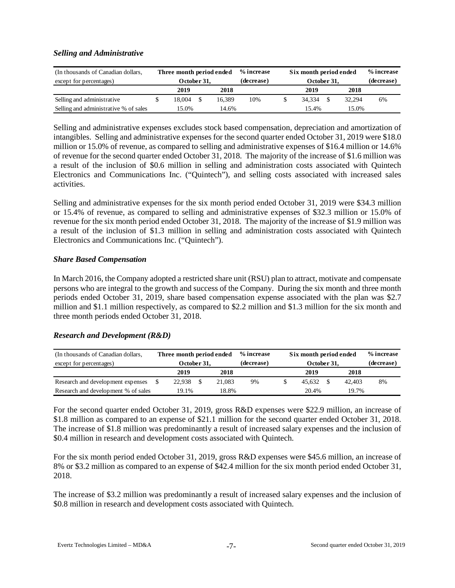# *Selling and Administrative*

| (In thousands of Canadian dollars,<br>except for percentages) | Three month period ended<br>October 31. |        | % increase<br>(decrease) | Six month period ended<br>October 31, |        | % increase<br>(decrease) |
|---------------------------------------------------------------|-----------------------------------------|--------|--------------------------|---------------------------------------|--------|--------------------------|
|                                                               | 2019                                    | 2018   |                          | 2019                                  | 2018   |                          |
| Selling and administrative                                    | 18.004                                  | 16.389 | 10%                      | 34.334                                | 32.294 | 6%                       |
| Selling and administrative % of sales                         | 15.0%                                   | 14.6%  |                          | 15.4%                                 | 15.0%  |                          |

Selling and administrative expenses excludes stock based compensation, depreciation and amortization of intangibles. Selling and administrative expenses for the second quarter ended October 31, 2019 were \$18.0 million or 15.0% of revenue, as compared to selling and administrative expenses of \$16.4 million or 14.6% of revenue for the second quarter ended October 31, 2018. The majority of the increase of \$1.6 million was a result of the inclusion of \$0.6 million in selling and administration costs associated with Quintech Electronics and Communications Inc. ("Quintech"), and selling costs associated with increased sales activities.

Selling and administrative expenses for the six month period ended October 31, 2019 were \$34.3 million or 15.4% of revenue, as compared to selling and administrative expenses of \$32.3 million or 15.0% of revenue for the six month period ended October 31, 2018. The majority of the increase of \$1.9 million was a result of the inclusion of \$1.3 million in selling and administration costs associated with Quintech Electronics and Communications Inc. ("Quintech").

# *Share Based Compensation*

In March 2016, the Company adopted a restricted share unit (RSU) plan to attract, motivate and compensate persons who are integral to the growth and success of the Company. During the six month and three month periods ended October 31, 2019, share based compensation expense associated with the plan was \$2.7 million and \$1.1 million respectively, as compared to \$2.2 million and \$1.3 million for the six month and three month periods ended October 31, 2018.

# *Research and Development (R&D)*

| (In thousands of Canadian dollars,  | Three month period ended |      |        | % increase | Six month period ended |  | % increase |    |
|-------------------------------------|--------------------------|------|--------|------------|------------------------|--|------------|----|
| except for percentages)             | October 31.              |      |        | (decrease) | October 31,            |  | (decrease) |    |
|                                     | 2019                     | 2018 |        | 2019       | 2018                   |  |            |    |
| Research and development expenses   | 22.938                   |      | 21.083 | 9%         | 45.632                 |  | 42,403     | 8% |
| Research and development % of sales | 19.1%                    |      | 18.8%  |            | 20.4%                  |  | 19.7%      |    |

For the second quarter ended October 31, 2019, gross R&D expenses were \$22.9 million, an increase of \$1.8 million as compared to an expense of \$21.1 million for the second quarter ended October 31, 2018. The increase of \$1.8 million was predominantly a result of increased salary expenses and the inclusion of \$0.4 million in research and development costs associated with Quintech.

For the six month period ended October 31, 2019, gross R&D expenses were \$45.6 million, an increase of 8% or \$3.2 million as compared to an expense of \$42.4 million for the six month period ended October 31, 2018.

The increase of \$3.2 million was predominantly a result of increased salary expenses and the inclusion of \$0.8 million in research and development costs associated with Quintech.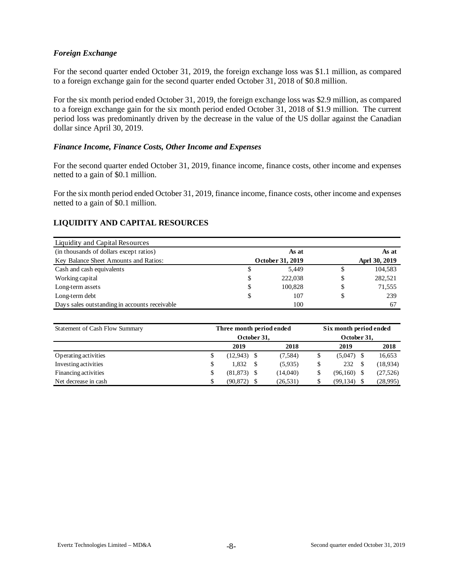## *Foreign Exchange*

For the second quarter ended October 31, 2019, the foreign exchange loss was \$1.1 million, as compared to a foreign exchange gain for the second quarter ended October 31, 2018 of \$0.8 million.

For the six month period ended October 31, 2019, the foreign exchange loss was \$2.9 million, as compared to a foreign exchange gain for the six month period ended October 31, 2018 of \$1.9 million. The current period loss was predominantly driven by the decrease in the value of the US dollar against the Canadian dollar since April 30, 2019.

#### *Finance Income, Finance Costs, Other Income and Expenses*

For the second quarter ended October 31, 2019, finance income, finance costs, other income and expenses netted to a gain of \$0.1 million.

For the six month period ended October 31, 2019, finance income, finance costs, other income and expenses netted to a gain of \$0.1 million.

# **LIQUIDITY AND CAPITAL RESOURCES**

| Liquidity and Capital Resources               |    |                  |               |
|-----------------------------------------------|----|------------------|---------------|
| (in thousands of dollars except ratios)       |    | As at            | As at         |
| Key Balance Sheet Amounts and Ratios:         |    | October 31, 2019 | Aprl 30, 2019 |
| Cash and cash equivalents                     | S  | 5,449            | \$<br>104,583 |
| Working capital                               | \$ | 222,038          | \$<br>282,521 |
| Long-term assets                              | \$ | 100,828          | \$<br>71,555  |
| Long-term debt                                | \$ | 107              | \$<br>239     |
| Days sales outstanding in accounts receivable |    | 100              | 67            |

| Statement of Cash Flow Summary | Three month period ended |             | Six month period ended |           |  |  |  |  |
|--------------------------------|--------------------------|-------------|------------------------|-----------|--|--|--|--|
|                                | October 31,              | October 31, |                        |           |  |  |  |  |
|                                | 2019                     | 2018        | 2019                   | 2018      |  |  |  |  |
| Operating activities           | \$<br>$(12,943)$ \$      | (7,584)     | $(5,047)$ \$           | 16,653    |  |  |  |  |
| Investing activities           | \$<br>1.832              | (5,935)     | 232<br>-S              | (18,934)  |  |  |  |  |
| Financing activities           | $(81,873)$ \$            | (14,040)    | (96,160)               | (27, 526) |  |  |  |  |
| Net decrease in cash           | \$<br>(90, 872)          | (26, 531)   | (99, 134)              | (28,995)  |  |  |  |  |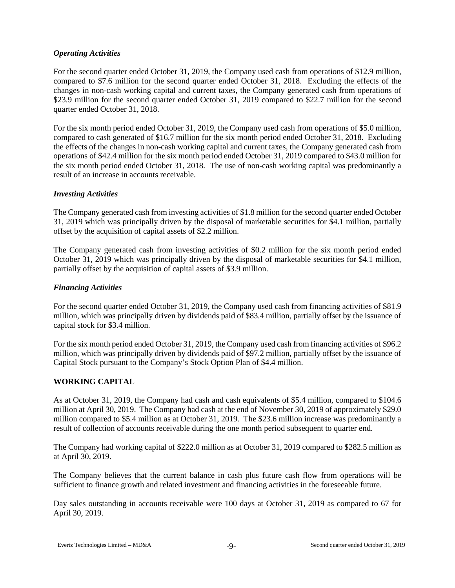# *Operating Activities*

For the second quarter ended October 31, 2019, the Company used cash from operations of \$12.9 million, compared to \$7.6 million for the second quarter ended October 31, 2018. Excluding the effects of the changes in non-cash working capital and current taxes, the Company generated cash from operations of \$23.9 million for the second quarter ended October 31, 2019 compared to \$22.7 million for the second quarter ended October 31, 2018.

For the six month period ended October 31, 2019, the Company used cash from operations of \$5.0 million, compared to cash generated of \$16.7 million for the six month period ended October 31, 2018. Excluding the effects of the changes in non-cash working capital and current taxes, the Company generated cash from operations of \$42.4 million for the six month period ended October 31, 2019 compared to \$43.0 million for the six month period ended October 31, 2018. The use of non-cash working capital was predominantly a result of an increase in accounts receivable.

# *Investing Activities*

The Company generated cash from investing activities of \$1.8 million for the second quarter ended October 31, 2019 which was principally driven by the disposal of marketable securities for \$4.1 million, partially offset by the acquisition of capital assets of \$2.2 million.

The Company generated cash from investing activities of \$0.2 million for the six month period ended October 31, 2019 which was principally driven by the disposal of marketable securities for \$4.1 million, partially offset by the acquisition of capital assets of \$3.9 million.

## *Financing Activities*

For the second quarter ended October 31, 2019, the Company used cash from financing activities of \$81.9 million, which was principally driven by dividends paid of \$83.4 million, partially offset by the issuance of capital stock for \$3.4 million.

For the six month period ended October 31, 2019, the Company used cash from financing activities of \$96.2 million, which was principally driven by dividends paid of \$97.2 million, partially offset by the issuance of Capital Stock pursuant to the Company's Stock Option Plan of \$4.4 million.

# **WORKING CAPITAL**

As at October 31, 2019, the Company had cash and cash equivalents of \$5.4 million, compared to \$104.6 million at April 30, 2019. The Company had cash at the end of November 30, 2019 of approximately \$29.0 million compared to \$5.4 million as at October 31, 2019. The \$23.6 million increase was predominantly a result of collection of accounts receivable during the one month period subsequent to quarter end.

The Company had working capital of \$222.0 million as at October 31, 2019 compared to \$282.5 million as at April 30, 2019.

The Company believes that the current balance in cash plus future cash flow from operations will be sufficient to finance growth and related investment and financing activities in the foreseeable future.

Day sales outstanding in accounts receivable were 100 days at October 31, 2019 as compared to 67 for April 30, 2019.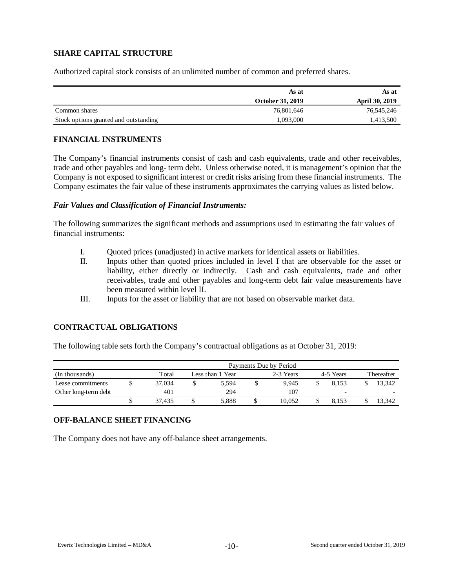# **SHARE CAPITAL STRUCTURE**

Authorized capital stock consists of an unlimited number of common and preferred shares.

|                                       | As at            | As at          |
|---------------------------------------|------------------|----------------|
|                                       | October 31, 2019 | April 30, 2019 |
| Common shares                         | 76,801,646       | 76,545,246     |
| Stock options granted and outstanding | .093.000         | .413,500       |

#### **FINANCIAL INSTRUMENTS**

The Company's financial instruments consist of cash and cash equivalents, trade and other receivables, trade and other payables and long- term debt. Unless otherwise noted, it is management's opinion that the Company is not exposed to significant interest or credit risks arising from these financial instruments. The Company estimates the fair value of these instruments approximates the carrying values as listed below.

#### *Fair Values and Classification of Financial Instruments:*

The following summarizes the significant methods and assumptions used in estimating the fair values of financial instruments:

- I. Quoted prices (unadjusted) in active markets for identical assets or liabilities.
- II. Inputs other than quoted prices included in level I that are observable for the asset or liability, either directly or indirectly. Cash and cash equivalents, trade and other receivables, trade and other payables and long-term debt fair value measurements have been measured within level II.
- III. Inputs for the asset or liability that are not based on observable market data.

## **CONTRACTUAL OBLIGATIONS**

The following table sets forth the Company's contractual obligations as at October 31, 2019:

|                      | Payments Due by Period |        |  |                  |  |           |  |           |            |                          |  |  |  |  |
|----------------------|------------------------|--------|--|------------------|--|-----------|--|-----------|------------|--------------------------|--|--|--|--|
| (In thousands)       |                        | Total  |  | Less than 1 Year |  | 2-3 Years |  | 4-5 Years | Thereafter |                          |  |  |  |  |
| Lease commitments    |                        | 37,034 |  | 5.594            |  | 9.945     |  | 8.153     |            | 13.342                   |  |  |  |  |
| Other long-term debt |                        | 401    |  | 294              |  | 107       |  | -         |            | $\overline{\phantom{0}}$ |  |  |  |  |
|                      |                        | 37.435 |  | 5,888            |  | 10.052    |  | 8.153     |            | 13.342                   |  |  |  |  |

## **OFF-BALANCE SHEET FINANCING**

The Company does not have any off-balance sheet arrangements.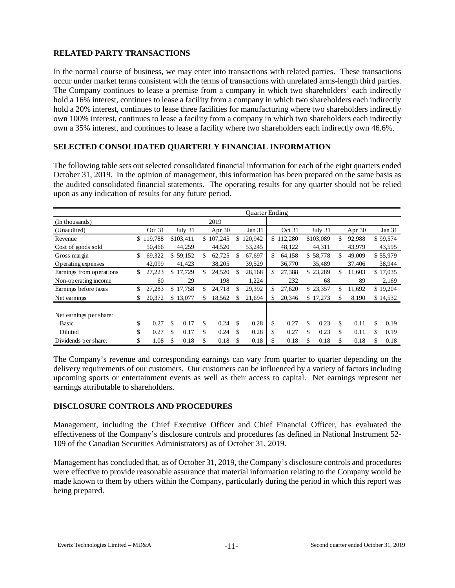# **RELATED PARTY TRANSACTIONS**

In the normal course of business, we may enter into transactions with related parties. These transactions occur under market terms consistent with the terms of transactions with unrelated arms-length third parties. The Company continues to lease a premise from a company in which two shareholders' each indirectly hold a 16% interest, continues to lease a facility from a company in which two shareholders each indirectly hold a 20% interest, continues to lease three facilities for manufacturing where two shareholders indirectly own 100% interest, continues to lease a facility from a company in which two shareholders each indirectly own a 35% interest, and continues to lease a facility where two shareholders each indirectly own 46.6%.

# **SELECTED CONSOLIDATED QUARTERLY FINANCIAL INFORMATION**

The following table sets out selected consolidated financial information for each of the eight quarters ended October 31, 2019. In the opinion of management, this information has been prepared on the same basis as the audited consolidated financial statements. The operating results for any quarter should not be relied upon as any indication of results for any future period.

|                          |              |    |           |              |    | <b>Ouarter Ending</b> |    |         |    |           |    |          |            |
|--------------------------|--------------|----|-----------|--------------|----|-----------------------|----|---------|----|-----------|----|----------|------------|
| (In thousands)           |              |    |           | 2019         |    |                       |    |         |    |           |    |          |            |
| (Unaudited)              | Oct 31       |    | July 31   | Apr $30$     |    | Jan 31                |    | Oct 31  |    | July 31   |    | Apr $30$ | Jan 31     |
| Revenue                  | \$119,788    |    | \$103,411 | \$107,245    | \$ | 120,942               | \$ | 112,280 |    | \$103,089 | \$ | 92,988   | \$99,574   |
| Cost of goods sold       | 50.466       |    | 44,259    | 44,520       |    | 53,245                |    | 48,122  |    | 44,311    |    | 43,979   | 43,595     |
| Gross margin             | \$<br>69,322 |    | \$59,152  | \$<br>62,725 | S  | 67,697                | \$ | 64,158  |    | \$58,778  | \$ | 49,009   | \$55,979   |
| Operating expenses       | 42.099       |    | 41,423    | 38,205       |    | 39,529                |    | 36,770  |    | 35.489    |    | 37,406   | 38,944     |
| Earnings from operations | \$<br>27,223 | \$ | 17,729    | \$<br>24,520 | \$ | 28,168                | \$ | 27,388  |    | \$23,289  | \$ | 11,603   | \$17,035   |
| Non-operating income     | 60           |    | 29        | 198          |    | 1,224                 |    | 232     |    | 68        |    | 89       | 2,169      |
| Earnings before taxes    | \$<br>27,283 | \$ | 17,758    | \$<br>24,718 | \$ | 29,392                | \$ | 27,620  |    | \$23,357  | \$ | 11.692   | \$19,204   |
| Net earnings             | \$<br>20,372 | \$ | 13,077    | \$<br>18,562 |    | 21,694                | \$ | 20,346  |    | \$17,273  | \$ | 8,190    | \$14,532   |
| Net earnings per share:  |              |    |           |              |    |                       |    |         |    |           |    |          |            |
| Basic                    | \$<br>0.27   | \$ | 0.17      | \$<br>0.24   | \$ | 0.28                  | \$ | 0.27    | \$ | 0.23      | \$ | 0.11     | \$<br>0.19 |
| Diluted                  | \$<br>0.27   | \$ | 0.17      | \$<br>0.24   | \$ | 0.28                  | \$ | 0.27    | \$ | 0.23      | \$ | 0.11     | \$<br>0.19 |
| Dividends per share:     | \$<br>1.08   | S  | 0.18      | \$<br>0.18   |    | 0.18                  | S  | 0.18    | S  | 0.18      | S  | 0.18     | \$<br>0.18 |

The Company's revenue and corresponding earnings can vary from quarter to quarter depending on the delivery requirements of our customers. Our customers can be influenced by a variety of factors including upcoming sports or entertainment events as well as their access to capital. Net earnings represent net earnings attributable to shareholders.

## **DISCLOSURE CONTROLS AND PROCEDURES**

Management, including the Chief Executive Officer and Chief Financial Officer, has evaluated the effectiveness of the Company's disclosure controls and procedures (as defined in National Instrument 52- 109 of the Canadian Securities Administrators) as of October 31, 2019.

Management has concluded that, as of October 31, 2019, the Company's disclosure controls and procedures were effective to provide reasonable assurance that material information relating to the Company would be made known to them by others within the Company, particularly during the period in which this report was being prepared.